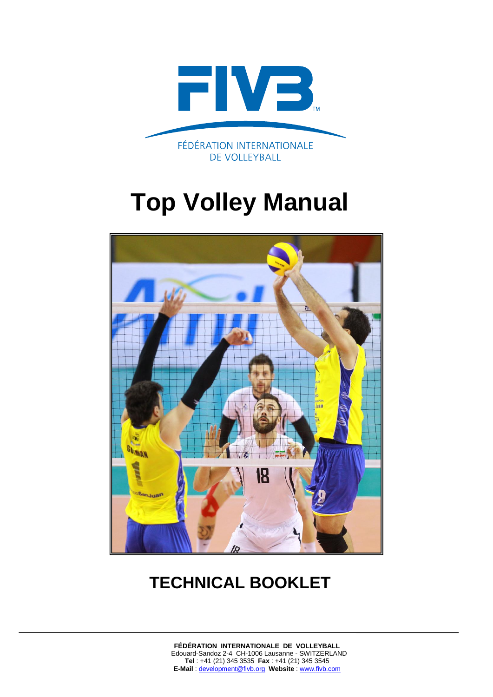

# **Top Volley Manual**



# **TECHNICAL BOOKLET**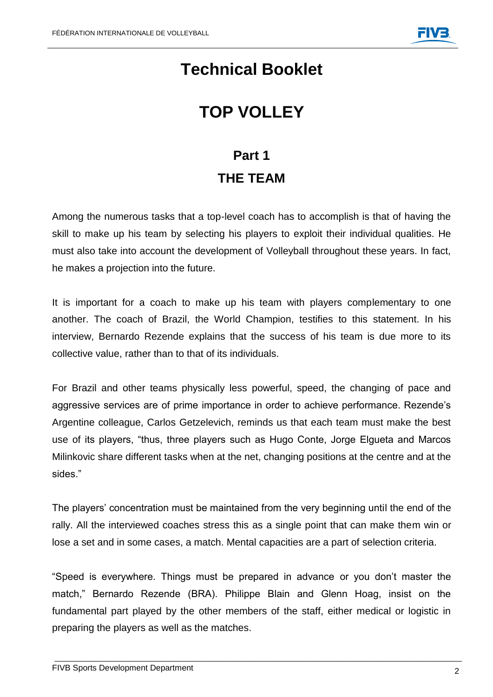## **Technical Booklet**

# **TOP VOLLEY**

## **Part 1 THE TEAM**

Among the numerous tasks that a top-level coach has to accomplish is that of having the skill to make up his team by selecting his players to exploit their individual qualities. He must also take into account the development of Volleyball throughout these years. In fact, he makes a projection into the future.

It is important for a coach to make up his team with players complementary to one another. The coach of Brazil, the World Champion, testifies to this statement. In his interview, Bernardo Rezende explains that the success of his team is due more to its collective value, rather than to that of its individuals.

For Brazil and other teams physically less powerful, speed, the changing of pace and aggressive services are of prime importance in order to achieve performance. Rezende's Argentine colleague, Carlos Getzelevich, reminds us that each team must make the best use of its players, "thus, three players such as Hugo Conte, Jorge Elgueta and Marcos Milinkovic share different tasks when at the net, changing positions at the centre and at the sides."

The players' concentration must be maintained from the very beginning until the end of the rally. All the interviewed coaches stress this as a single point that can make them win or lose a set and in some cases, a match. Mental capacities are a part of selection criteria.

"Speed is everywhere. Things must be prepared in advance or you don't master the match," Bernardo Rezende (BRA). Philippe Blain and Glenn Hoag, insist on the fundamental part played by the other members of the staff, either medical or logistic in preparing the players as well as the matches.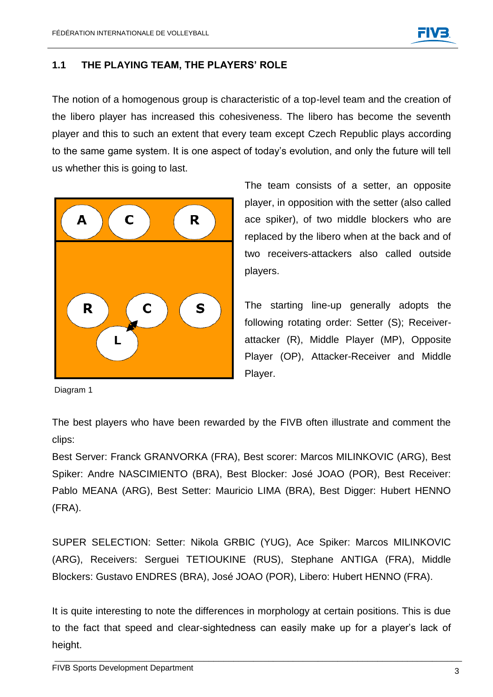#### **1.1 THE PLAYING TEAM, THE PLAYERS' ROLE**

The notion of a homogenous group is characteristic of a top-level team and the creation of the libero player has increased this cohesiveness. The libero has become the seventh player and this to such an extent that every team except Czech Republic plays according to the same game system. It is one aspect of today's evolution, and only the future will tell us whether this is going to last.



The team consists of a setter, an opposite player, in opposition with the setter (also called ace spiker), of two middle blockers who are replaced by the libero when at the back and of two receivers-attackers also called outside players.

The starting line-up generally adopts the following rotating order: Setter (S); Receiverattacker (R), Middle Player (MP), Opposite Player (OP), Attacker-Receiver and Middle Player.

Diagram 1

The best players who have been rewarded by the FIVB often illustrate and comment the clips:

Best Server: Franck GRANVORKA (FRA), Best scorer: Marcos MILINKOVIC (ARG), Best Spiker: Andre NASCIMIENTO (BRA), Best Blocker: José JOAO (POR), Best Receiver: Pablo MEANA (ARG), Best Setter: Mauricio LIMA (BRA), Best Digger: Hubert HENNO (FRA).

SUPER SELECTION: Setter: Nikola GRBIC (YUG), Ace Spiker: Marcos MILINKOVIC (ARG), Receivers: Serguei TETIOUKINE (RUS), Stephane ANTIGA (FRA), Middle Blockers: Gustavo ENDRES (BRA), José JOAO (POR), Libero: Hubert HENNO (FRA).

It is quite interesting to note the differences in morphology at certain positions. This is due to the fact that speed and clear-sightedness can easily make up for a player's lack of height.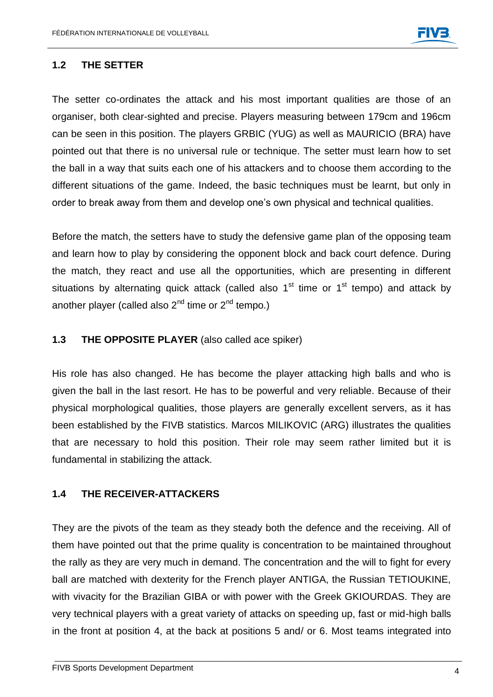

#### **1.2 THE SETTER**

The setter co-ordinates the attack and his most important qualities are those of an organiser, both clear-sighted and precise. Players measuring between 179cm and 196cm can be seen in this position. The players GRBIC (YUG) as well as MAURICIO (BRA) have pointed out that there is no universal rule or technique. The setter must learn how to set the ball in a way that suits each one of his attackers and to choose them according to the different situations of the game. Indeed, the basic techniques must be learnt, but only in order to break away from them and develop one's own physical and technical qualities.

Before the match, the setters have to study the defensive game plan of the opposing team and learn how to play by considering the opponent block and back court defence. During the match, they react and use all the opportunities, which are presenting in different situations by alternating quick attack (called also  $1<sup>st</sup>$  time or  $1<sup>st</sup>$  tempo) and attack by another player (called also  $2^{nd}$  time or  $2^{nd}$  tempo.)

#### **1.3 THE OPPOSITE PLAYER** (also called ace spiker)

His role has also changed. He has become the player attacking high balls and who is given the ball in the last resort. He has to be powerful and very reliable. Because of their physical morphological qualities, those players are generally excellent servers, as it has been established by the FIVB statistics. Marcos MILIKOVIC (ARG) illustrates the qualities that are necessary to hold this position. Their role may seem rather limited but it is fundamental in stabilizing the attack.

#### **1.4 THE RECEIVER-ATTACKERS**

They are the pivots of the team as they steady both the defence and the receiving. All of them have pointed out that the prime quality is concentration to be maintained throughout the rally as they are very much in demand. The concentration and the will to fight for every ball are matched with dexterity for the French player ANTIGA, the Russian TETIOUKINE, with vivacity for the Brazilian GIBA or with power with the Greek GKIOURDAS. They are very technical players with a great variety of attacks on speeding up, fast or mid-high balls in the front at position 4, at the back at positions 5 and/ or 6. Most teams integrated into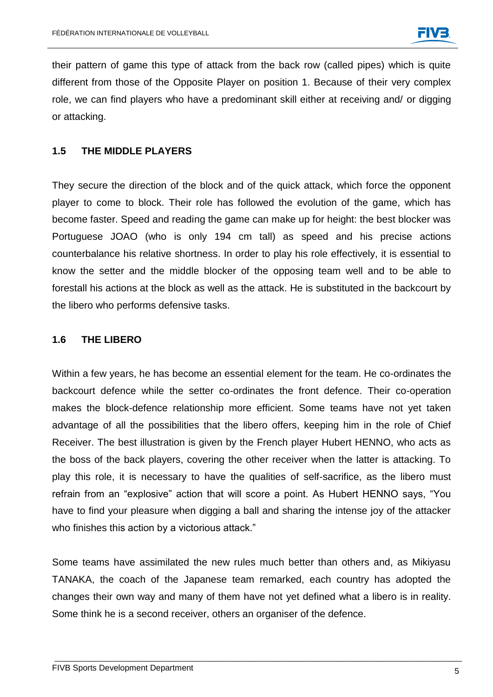their pattern of game this type of attack from the back row (called pipes) which is quite different from those of the Opposite Player on position 1. Because of their very complex role, we can find players who have a predominant skill either at receiving and/ or digging or attacking.

#### **1.5 THE MIDDLE PLAYERS**

They secure the direction of the block and of the quick attack, which force the opponent player to come to block. Their role has followed the evolution of the game, which has become faster. Speed and reading the game can make up for height: the best blocker was Portuguese JOAO (who is only 194 cm tall) as speed and his precise actions counterbalance his relative shortness. In order to play his role effectively, it is essential to know the setter and the middle blocker of the opposing team well and to be able to forestall his actions at the block as well as the attack. He is substituted in the backcourt by the libero who performs defensive tasks.

#### **1.6 THE LIBERO**

Within a few years, he has become an essential element for the team. He co-ordinates the backcourt defence while the setter co-ordinates the front defence. Their co-operation makes the block-defence relationship more efficient. Some teams have not yet taken advantage of all the possibilities that the libero offers, keeping him in the role of Chief Receiver. The best illustration is given by the French player Hubert HENNO, who acts as the boss of the back players, covering the other receiver when the latter is attacking. To play this role, it is necessary to have the qualities of self-sacrifice, as the libero must refrain from an "explosive" action that will score a point. As Hubert HENNO says, "You have to find your pleasure when digging a ball and sharing the intense joy of the attacker who finishes this action by a victorious attack."

Some teams have assimilated the new rules much better than others and, as Mikiyasu TANAKA, the coach of the Japanese team remarked, each country has adopted the changes their own way and many of them have not yet defined what a libero is in reality. Some think he is a second receiver, others an organiser of the defence.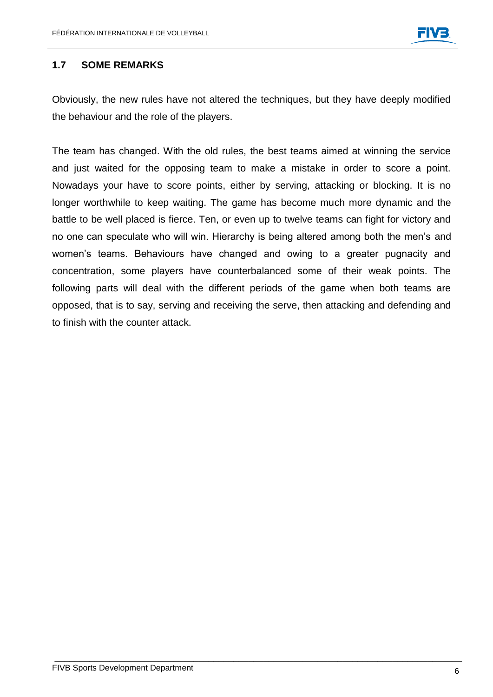#### **1.7 SOME REMARKS**

Obviously, the new rules have not altered the techniques, but they have deeply modified the behaviour and the role of the players.

The team has changed. With the old rules, the best teams aimed at winning the service and just waited for the opposing team to make a mistake in order to score a point. Nowadays your have to score points, either by serving, attacking or blocking. It is no longer worthwhile to keep waiting. The game has become much more dynamic and the battle to be well placed is fierce. Ten, or even up to twelve teams can fight for victory and no one can speculate who will win. Hierarchy is being altered among both the men's and women's teams. Behaviours have changed and owing to a greater pugnacity and concentration, some players have counterbalanced some of their weak points. The following parts will deal with the different periods of the game when both teams are opposed, that is to say, serving and receiving the serve, then attacking and defending and to finish with the counter attack.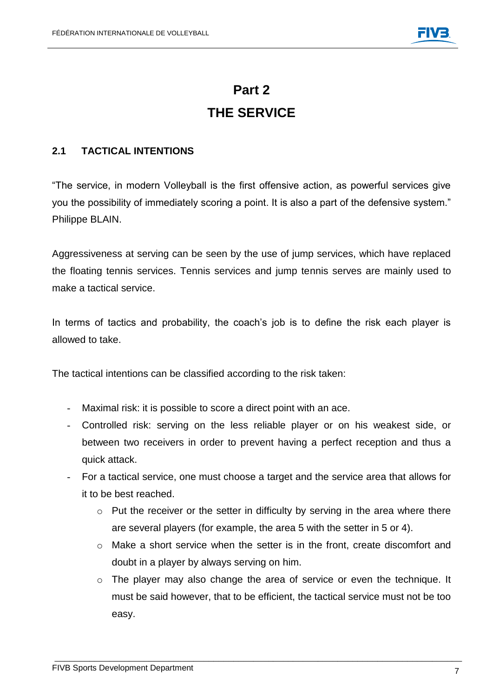### **Part 2 THE SERVICE**

#### **2.1 TACTICAL INTENTIONS**

"The service, in modern Volleyball is the first offensive action, as powerful services give you the possibility of immediately scoring a point. It is also a part of the defensive system." Philippe BLAIN.

Aggressiveness at serving can be seen by the use of jump services, which have replaced the floating tennis services. Tennis services and jump tennis serves are mainly used to make a tactical service.

In terms of tactics and probability, the coach's job is to define the risk each player is allowed to take.

The tactical intentions can be classified according to the risk taken:

- Maximal risk: it is possible to score a direct point with an ace.
- Controlled risk: serving on the less reliable player or on his weakest side, or between two receivers in order to prevent having a perfect reception and thus a quick attack.
- For a tactical service, one must choose a target and the service area that allows for it to be best reached.
	- o Put the receiver or the setter in difficulty by serving in the area where there are several players (for example, the area 5 with the setter in 5 or 4).
	- $\circ$  Make a short service when the setter is in the front, create discomfort and doubt in a player by always serving on him.
	- $\circ$  The player may also change the area of service or even the technique. It must be said however, that to be efficient, the tactical service must not be too easy.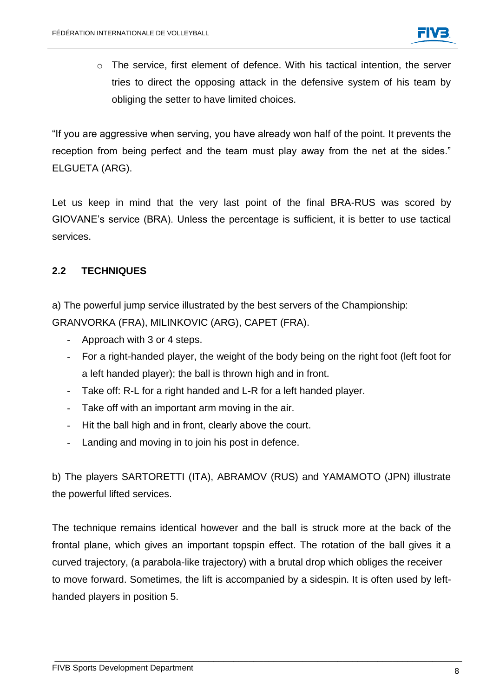o The service, first element of defence. With his tactical intention, the server tries to direct the opposing attack in the defensive system of his team by obliging the setter to have limited choices.

"If you are aggressive when serving, you have already won half of the point. It prevents the reception from being perfect and the team must play away from the net at the sides." ELGUETA (ARG).

Let us keep in mind that the very last point of the final BRA-RUS was scored by GIOVANE's service (BRA). Unless the percentage is sufficient, it is better to use tactical services.

#### **2.2 TECHNIQUES**

a) The powerful jump service illustrated by the best servers of the Championship: GRANVORKA (FRA), MILINKOVIC (ARG), CAPET (FRA).

- Approach with 3 or 4 steps.
- For a right-handed player, the weight of the body being on the right foot (left foot for a left handed player); the ball is thrown high and in front.
- Take off: R-L for a right handed and L-R for a left handed player.
- Take off with an important arm moving in the air.
- Hit the ball high and in front, clearly above the court.
- Landing and moving in to join his post in defence.

b) The players SARTORETTI (ITA), ABRAMOV (RUS) and YAMAMOTO (JPN) illustrate the powerful lifted services.

The technique remains identical however and the ball is struck more at the back of the frontal plane, which gives an important topspin effect. The rotation of the ball gives it a curved trajectory, (a parabola-like trajectory) with a brutal drop which obliges the receiver to move forward. Sometimes, the lift is accompanied by a sidespin. It is often used by lefthanded players in position 5.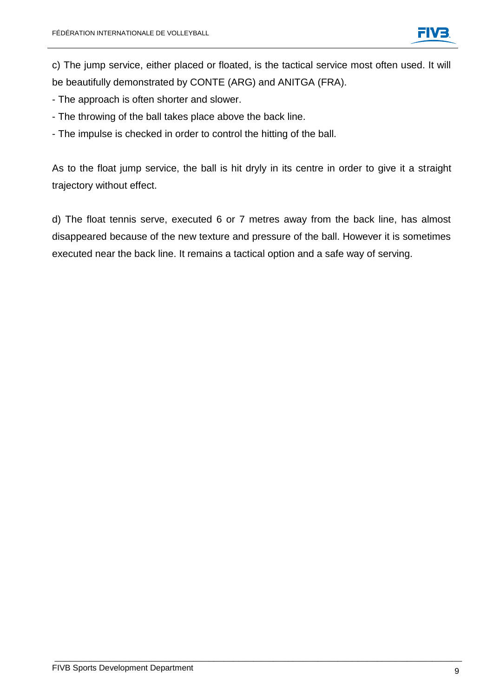c) The jump service, either placed or floated, is the tactical service most often used. It will be beautifully demonstrated by CONTE (ARG) and ANITGA (FRA).

- The approach is often shorter and slower.
- The throwing of the ball takes place above the back line.
- The impulse is checked in order to control the hitting of the ball.

As to the float jump service, the ball is hit dryly in its centre in order to give it a straight trajectory without effect.

d) The float tennis serve, executed 6 or 7 metres away from the back line, has almost disappeared because of the new texture and pressure of the ball. However it is sometimes executed near the back line. It remains a tactical option and a safe way of serving.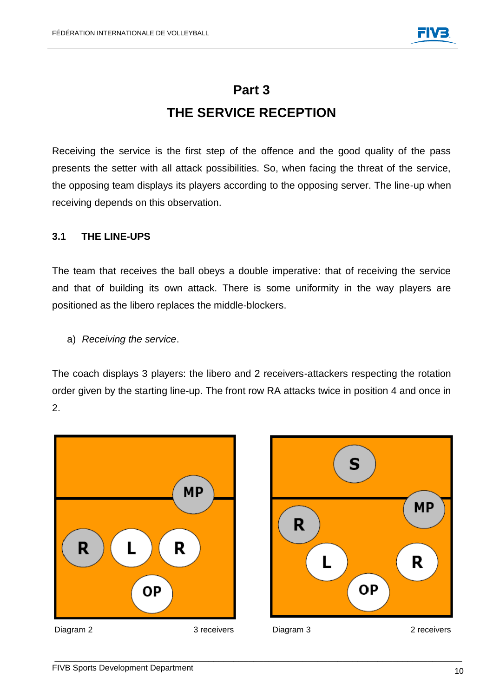### **Part 3 THE SERVICE RECEPTION**

Receiving the service is the first step of the offence and the good quality of the pass presents the setter with all attack possibilities. So, when facing the threat of the service, the opposing team displays its players according to the opposing server. The line-up when receiving depends on this observation.

#### **3.1 THE LINE-UPS**

The team that receives the ball obeys a double imperative: that of receiving the service and that of building its own attack. There is some uniformity in the way players are positioned as the libero replaces the middle-blockers.

a) *Receiving the service*.

The coach displays 3 players: the libero and 2 receivers-attackers respecting the rotation order given by the starting line-up. The front row RA attacks twice in position 4 and once in 2.



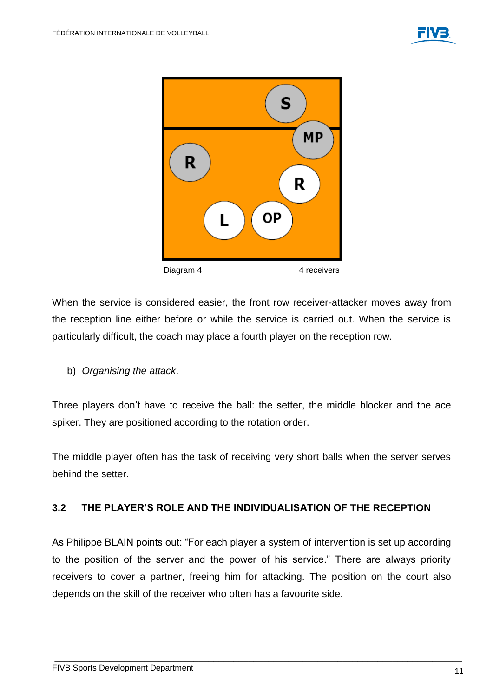

When the service is considered easier, the front row receiver-attacker moves away from the reception line either before or while the service is carried out. When the service is particularly difficult, the coach may place a fourth player on the reception row.

b) *Organising the attack*.

Three players don't have to receive the ball: the setter, the middle blocker and the ace spiker. They are positioned according to the rotation order.

The middle player often has the task of receiving very short balls when the server serves behind the setter.

#### **3.2 THE PLAYER'S ROLE AND THE INDIVIDUALISATION OF THE RECEPTION**

As Philippe BLAIN points out: "For each player a system of intervention is set up according to the position of the server and the power of his service." There are always priority receivers to cover a partner, freeing him for attacking. The position on the court also depends on the skill of the receiver who often has a favourite side.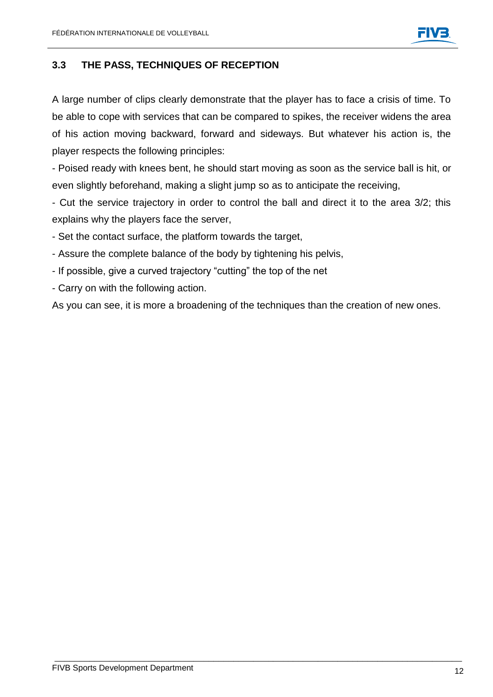#### **3.3 THE PASS, TECHNIQUES OF RECEPTION**

A large number of clips clearly demonstrate that the player has to face a crisis of time. To be able to cope with services that can be compared to spikes, the receiver widens the area of his action moving backward, forward and sideways. But whatever his action is, the player respects the following principles:

- Poised ready with knees bent, he should start moving as soon as the service ball is hit, or even slightly beforehand, making a slight jump so as to anticipate the receiving,

- Cut the service trajectory in order to control the ball and direct it to the area 3/2; this explains why the players face the server,

- Set the contact surface, the platform towards the target,
- Assure the complete balance of the body by tightening his pelvis,
- If possible, give a curved trajectory "cutting" the top of the net
- Carry on with the following action.

As you can see, it is more a broadening of the techniques than the creation of new ones.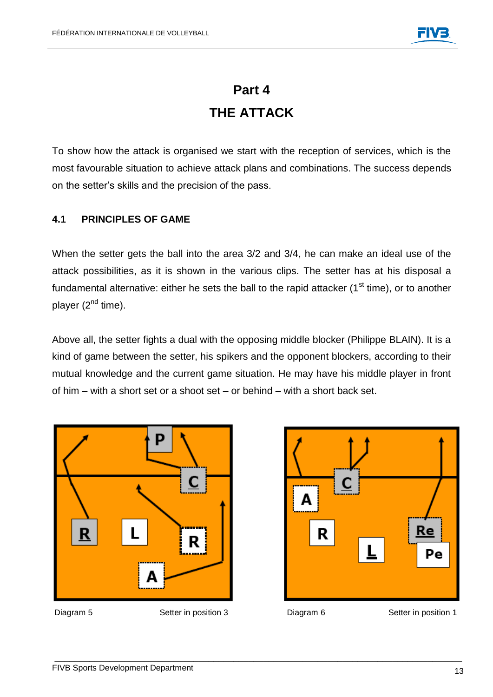### **Part 4 THE ATTACK**

To show how the attack is organised we start with the reception of services, which is the most favourable situation to achieve attack plans and combinations. The success depends on the setter's skills and the precision of the pass.

#### **4.1 PRINCIPLES OF GAME**

When the setter gets the ball into the area 3/2 and 3/4, he can make an ideal use of the attack possibilities, as it is shown in the various clips. The setter has at his disposal a fundamental alternative: either he sets the ball to the rapid attacker  $(1<sup>st</sup>$  time), or to another player  $(2^{nd}$  time).

Above all, the setter fights a dual with the opposing middle blocker (Philippe BLAIN). It is a kind of game between the setter, his spikers and the opponent blockers, according to their mutual knowledge and the current game situation. He may have his middle player in front of him – with a short set or a shoot set – or behind – with a short back set.





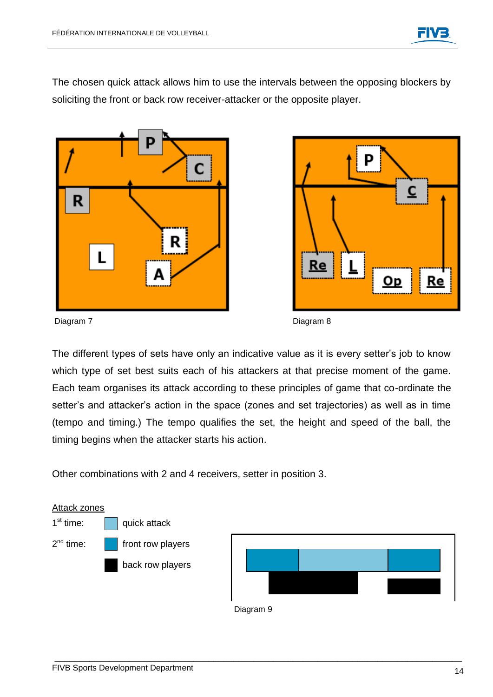The chosen quick attack allows him to use the intervals between the opposing blockers by soliciting the front or back row receiver-attacker or the opposite player.





Diagram 7 Diagram 8

The different types of sets have only an indicative value as it is every setter's job to know which type of set best suits each of his attackers at that precise moment of the game. Each team organises its attack according to these principles of game that co-ordinate the setter's and attacker's action in the space (zones and set trajectories) as well as in time (tempo and timing.) The tempo qualifies the set, the height and speed of the ball, the timing begins when the attacker starts his action.

Other combinations with 2 and 4 receivers, setter in position 3.

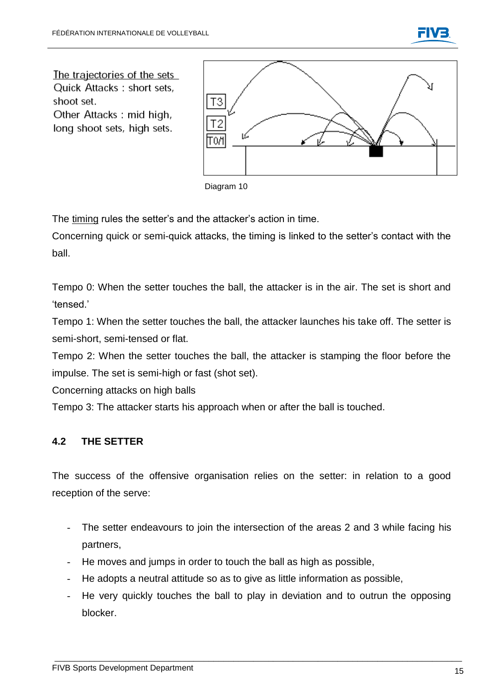

The trajectories of the sets **Quick Attacks: short sets.** shoot set.

Other Attacks: mid high, long shoot sets, high sets.



Diagram 10

The timing rules the setter's and the attacker's action in time.

Concerning quick or semi-quick attacks, the timing is linked to the setter's contact with the ball.

Tempo 0: When the setter touches the ball, the attacker is in the air. The set is short and 'tensed.'

Tempo 1: When the setter touches the ball, the attacker launches his take off. The setter is semi-short, semi-tensed or flat.

Tempo 2: When the setter touches the ball, the attacker is stamping the floor before the impulse. The set is semi-high or fast (shot set).

Concerning attacks on high balls

Tempo 3: The attacker starts his approach when or after the ball is touched.

#### **4.2 THE SETTER**

The success of the offensive organisation relies on the setter: in relation to a good reception of the serve:

- The setter endeavours to join the intersection of the areas 2 and 3 while facing his partners,
- He moves and jumps in order to touch the ball as high as possible,
- He adopts a neutral attitude so as to give as little information as possible,
- He very quickly touches the ball to play in deviation and to outrun the opposing blocker.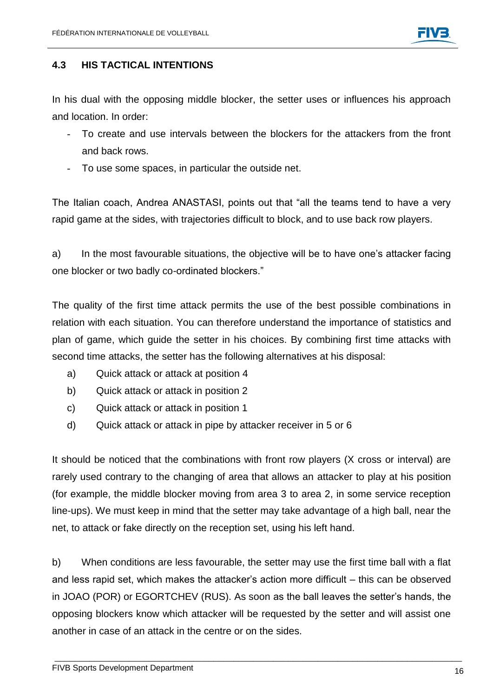

#### **4.3 HIS TACTICAL INTENTIONS**

In his dual with the opposing middle blocker, the setter uses or influences his approach and location. In order:

- To create and use intervals between the blockers for the attackers from the front and back rows.
- To use some spaces, in particular the outside net.

The Italian coach, Andrea ANASTASI, points out that "all the teams tend to have a very rapid game at the sides, with trajectories difficult to block, and to use back row players.

a) In the most favourable situations, the objective will be to have one's attacker facing one blocker or two badly co-ordinated blockers."

The quality of the first time attack permits the use of the best possible combinations in relation with each situation. You can therefore understand the importance of statistics and plan of game, which guide the setter in his choices. By combining first time attacks with second time attacks, the setter has the following alternatives at his disposal:

- a) Quick attack or attack at position 4
- b) Quick attack or attack in position 2
- c) Quick attack or attack in position 1
- d) Quick attack or attack in pipe by attacker receiver in 5 or 6

It should be noticed that the combinations with front row players (X cross or interval) are rarely used contrary to the changing of area that allows an attacker to play at his position (for example, the middle blocker moving from area 3 to area 2, in some service reception line-ups). We must keep in mind that the setter may take advantage of a high ball, near the net, to attack or fake directly on the reception set, using his left hand.

b) When conditions are less favourable, the setter may use the first time ball with a flat and less rapid set, which makes the attacker's action more difficult – this can be observed in JOAO (POR) or EGORTCHEV (RUS). As soon as the ball leaves the setter's hands, the opposing blockers know which attacker will be requested by the setter and will assist one another in case of an attack in the centre or on the sides.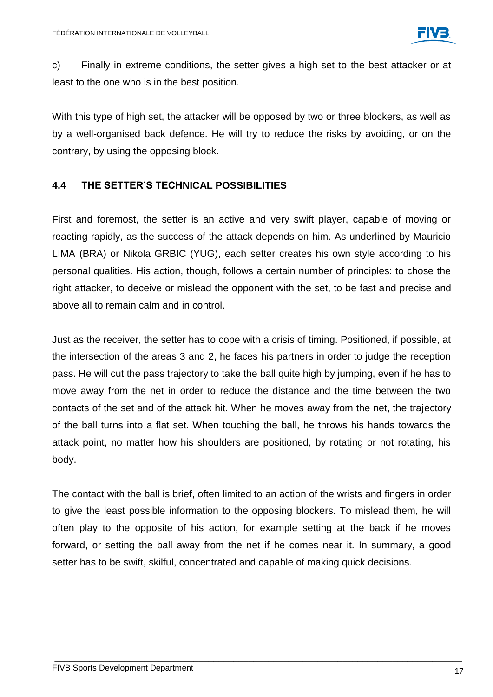c) Finally in extreme conditions, the setter gives a high set to the best attacker or at least to the one who is in the best position.

With this type of high set, the attacker will be opposed by two or three blockers, as well as by a well-organised back defence. He will try to reduce the risks by avoiding, or on the contrary, by using the opposing block.

#### **4.4 THE SETTER'S TECHNICAL POSSIBILITIES**

First and foremost, the setter is an active and very swift player, capable of moving or reacting rapidly, as the success of the attack depends on him. As underlined by Mauricio LIMA (BRA) or Nikola GRBIC (YUG), each setter creates his own style according to his personal qualities. His action, though, follows a certain number of principles: to chose the right attacker, to deceive or mislead the opponent with the set, to be fast and precise and above all to remain calm and in control.

Just as the receiver, the setter has to cope with a crisis of timing. Positioned, if possible, at the intersection of the areas 3 and 2, he faces his partners in order to judge the reception pass. He will cut the pass trajectory to take the ball quite high by jumping, even if he has to move away from the net in order to reduce the distance and the time between the two contacts of the set and of the attack hit. When he moves away from the net, the trajectory of the ball turns into a flat set. When touching the ball, he throws his hands towards the attack point, no matter how his shoulders are positioned, by rotating or not rotating, his body.

The contact with the ball is brief, often limited to an action of the wrists and fingers in order to give the least possible information to the opposing blockers. To mislead them, he will often play to the opposite of his action, for example setting at the back if he moves forward, or setting the ball away from the net if he comes near it. In summary, a good setter has to be swift, skilful, concentrated and capable of making quick decisions.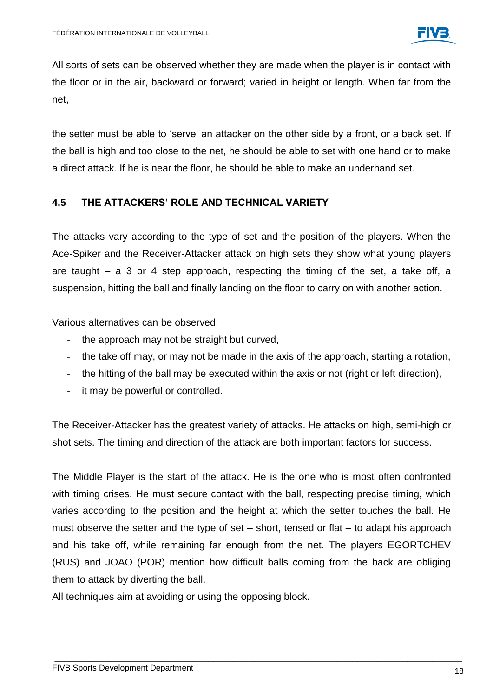All sorts of sets can be observed whether they are made when the player is in contact with the floor or in the air, backward or forward; varied in height or length. When far from the net,

the setter must be able to 'serve' an attacker on the other side by a front, or a back set. If the ball is high and too close to the net, he should be able to set with one hand or to make a direct attack. If he is near the floor, he should be able to make an underhand set.

#### **4.5 THE ATTACKERS' ROLE AND TECHNICAL VARIETY**

The attacks vary according to the type of set and the position of the players. When the Ace-Spiker and the Receiver-Attacker attack on high sets they show what young players are taught – a 3 or 4 step approach, respecting the timing of the set, a take off, a suspension, hitting the ball and finally landing on the floor to carry on with another action.

Various alternatives can be observed:

- the approach may not be straight but curved,
- the take off may, or may not be made in the axis of the approach, starting a rotation,
- the hitting of the ball may be executed within the axis or not (right or left direction),
- it may be powerful or controlled.

The Receiver-Attacker has the greatest variety of attacks. He attacks on high, semi-high or shot sets. The timing and direction of the attack are both important factors for success.

The Middle Player is the start of the attack. He is the one who is most often confronted with timing crises. He must secure contact with the ball, respecting precise timing, which varies according to the position and the height at which the setter touches the ball. He must observe the setter and the type of set  $-$  short, tensed or flat  $-$  to adapt his approach and his take off, while remaining far enough from the net. The players EGORTCHEV (RUS) and JOAO (POR) mention how difficult balls coming from the back are obliging them to attack by diverting the ball.

\_\_\_\_\_\_\_\_\_\_\_\_\_\_\_\_\_\_\_\_\_\_\_\_\_\_\_\_\_\_\_\_\_\_\_\_\_\_\_\_\_\_\_\_\_\_\_\_\_\_\_\_\_\_\_\_\_\_\_\_\_\_\_\_\_\_\_\_\_\_\_\_\_\_\_\_\_\_\_\_\_\_

All techniques aim at avoiding or using the opposing block.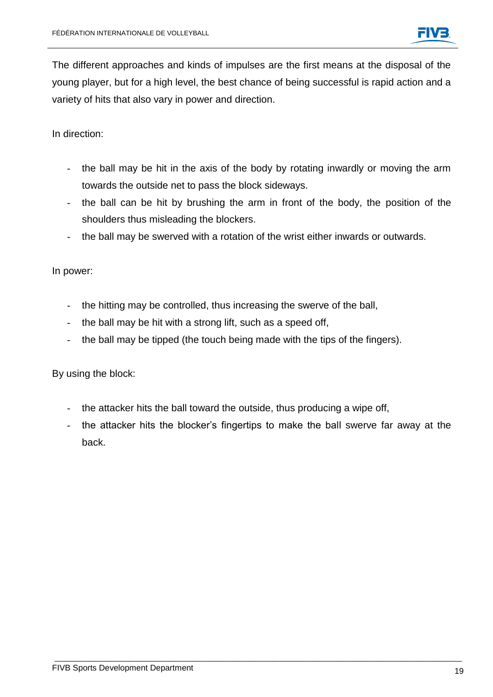The different approaches and kinds of impulses are the first means at the disposal of the young player, but for a high level, the best chance of being successful is rapid action and a variety of hits that also vary in power and direction.

In direction:

- the ball may be hit in the axis of the body by rotating inwardly or moving the arm towards the outside net to pass the block sideways.
- the ball can be hit by brushing the arm in front of the body, the position of the shoulders thus misleading the blockers.
- the ball may be swerved with a rotation of the wrist either inwards or outwards.

In power:

- the hitting may be controlled, thus increasing the swerve of the ball,
- the ball may be hit with a strong lift, such as a speed off,
- the ball may be tipped (the touch being made with the tips of the fingers).

By using the block:

- the attacker hits the ball toward the outside, thus producing a wipe off,
- the attacker hits the blocker's fingertips to make the ball swerve far away at the back.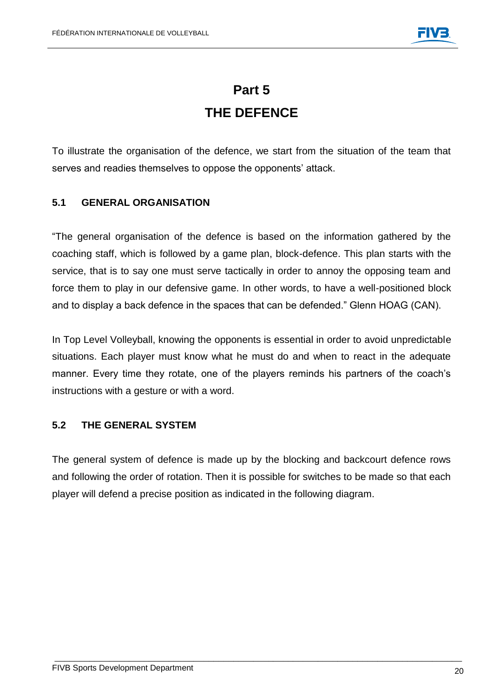### **Part 5 THE DEFENCE**

To illustrate the organisation of the defence, we start from the situation of the team that serves and readies themselves to oppose the opponents' attack.

#### **5.1 GENERAL ORGANISATION**

"The general organisation of the defence is based on the information gathered by the coaching staff, which is followed by a game plan, block-defence. This plan starts with the service, that is to say one must serve tactically in order to annoy the opposing team and force them to play in our defensive game. In other words, to have a well-positioned block and to display a back defence in the spaces that can be defended." Glenn HOAG (CAN).

In Top Level Volleyball, knowing the opponents is essential in order to avoid unpredictable situations. Each player must know what he must do and when to react in the adequate manner. Every time they rotate, one of the players reminds his partners of the coach's instructions with a gesture or with a word.

#### **5.2 THE GENERAL SYSTEM**

The general system of defence is made up by the blocking and backcourt defence rows and following the order of rotation. Then it is possible for switches to be made so that each player will defend a precise position as indicated in the following diagram.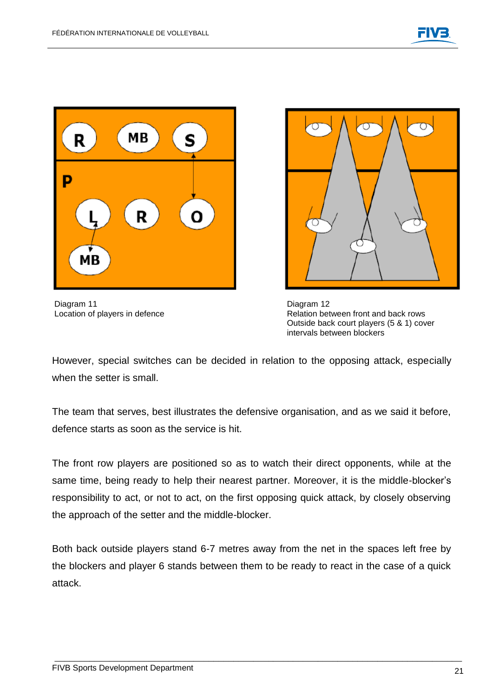

Diagram 11 Diagram 12



Location of players in defence **Relation between front and back rows** Relation between front and back rows Outside back court players (5 & 1) cover intervals between blockers

However, special switches can be decided in relation to the opposing attack, especially when the setter is small.

The team that serves, best illustrates the defensive organisation, and as we said it before, defence starts as soon as the service is hit.

The front row players are positioned so as to watch their direct opponents, while at the same time, being ready to help their nearest partner. Moreover, it is the middle-blocker's responsibility to act, or not to act, on the first opposing quick attack, by closely observing the approach of the setter and the middle-blocker.

Both back outside players stand 6-7 metres away from the net in the spaces left free by the blockers and player 6 stands between them to be ready to react in the case of a quick attack.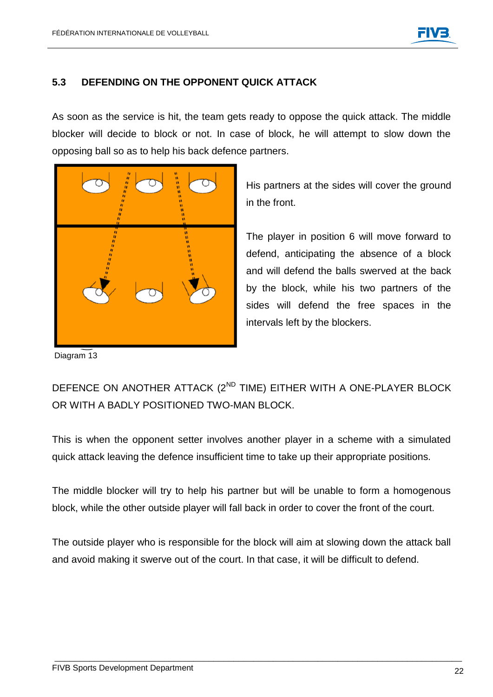#### **5.3 DEFENDING ON THE OPPONENT QUICK ATTACK**

As soon as the service is hit, the team gets ready to oppose the quick attack. The middle blocker will decide to block or not. In case of block, he will attempt to slow down the opposing ball so as to help his back defence partners.



His partners at the sides will cover the ground in the front.

The player in position 6 will move forward to defend, anticipating the absence of a block and will defend the balls swerved at the back by the block, while his two partners of the sides will defend the free spaces in the intervals left by the blockers.

Diagram 13

### DEFENCE ON ANOTHER ATTACK (2<sup>ND</sup> TIME) EITHER WITH A ONE-PLAYER BLOCK OR WITH A BADLY POSITIONED TWO-MAN BLOCK.

This is when the opponent setter involves another player in a scheme with a simulated quick attack leaving the defence insufficient time to take up their appropriate positions.

The middle blocker will try to help his partner but will be unable to form a homogenous block, while the other outside player will fall back in order to cover the front of the court.

The outside player who is responsible for the block will aim at slowing down the attack ball and avoid making it swerve out of the court. In that case, it will be difficult to defend.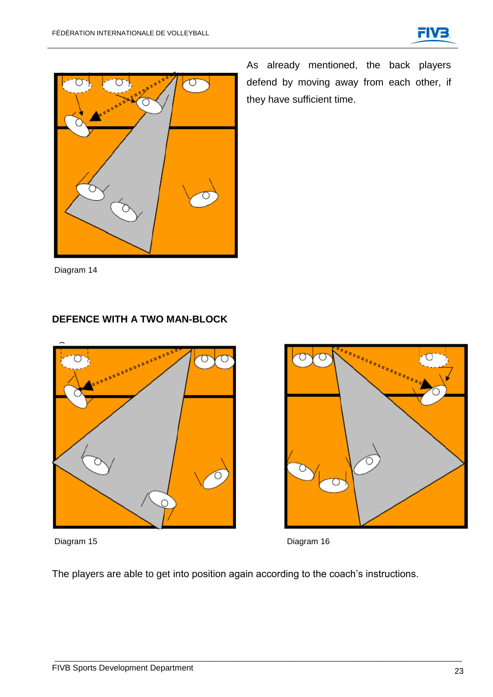



As already mentioned, the back players defend by moving away from each other, if they have sufficient time.

Diagram 14

#### **DEFENCE WITH A TWO MAN-BLOCK**



Diagram 15 Diagram 16





The players are able to get into position again according to the coach's instructions.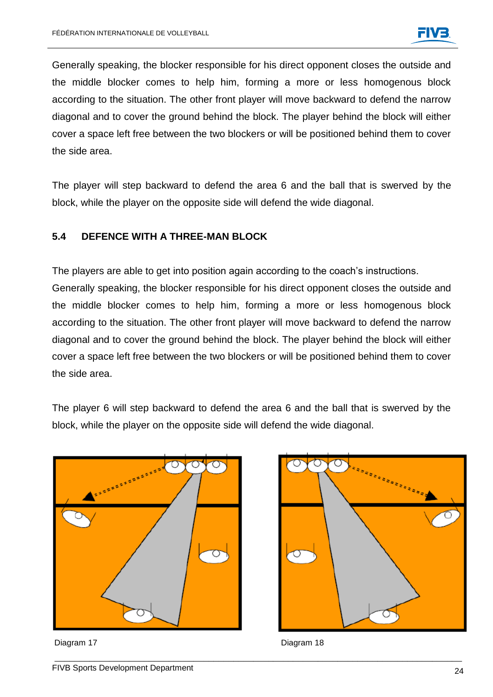Generally speaking, the blocker responsible for his direct opponent closes the outside and the middle blocker comes to help him, forming a more or less homogenous block according to the situation. The other front player will move backward to defend the narrow diagonal and to cover the ground behind the block. The player behind the block will either cover a space left free between the two blockers or will be positioned behind them to cover the side area.

The player will step backward to defend the area 6 and the ball that is swerved by the block, while the player on the opposite side will defend the wide diagonal.

#### **5.4 DEFENCE WITH A THREE-MAN BLOCK**

The players are able to get into position again according to the coach's instructions. Generally speaking, the blocker responsible for his direct opponent closes the outside and the middle blocker comes to help him, forming a more or less homogenous block according to the situation. The other front player will move backward to defend the narrow diagonal and to cover the ground behind the block. The player behind the block will either cover a space left free between the two blockers or will be positioned behind them to cover the side area.

The player 6 will step backward to defend the area 6 and the ball that is swerved by the block, while the player on the opposite side will defend the wide diagonal.



Diagram 17 Diagram 18

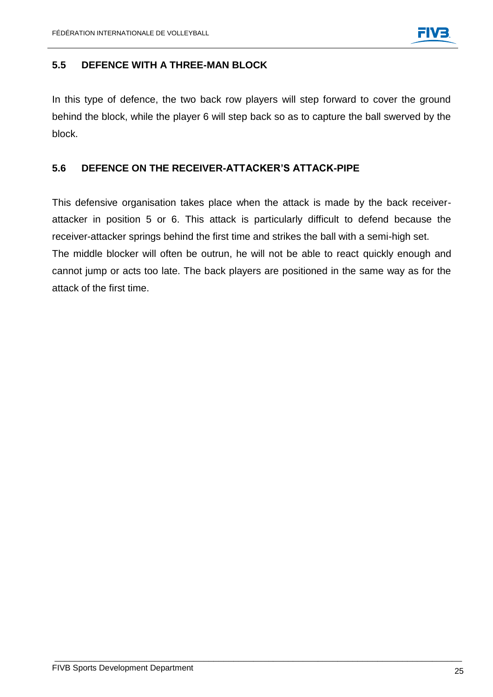#### **5.5 DEFENCE WITH A THREE-MAN BLOCK**

In this type of defence, the two back row players will step forward to cover the ground behind the block, while the player 6 will step back so as to capture the ball swerved by the block.

#### **5.6 DEFENCE ON THE RECEIVER-ATTACKER'S ATTACK-PIPE**

This defensive organisation takes place when the attack is made by the back receiverattacker in position 5 or 6. This attack is particularly difficult to defend because the receiver-attacker springs behind the first time and strikes the ball with a semi-high set. The middle blocker will often be outrun, he will not be able to react quickly enough and cannot jump or acts too late. The back players are positioned in the same way as for the attack of the first time.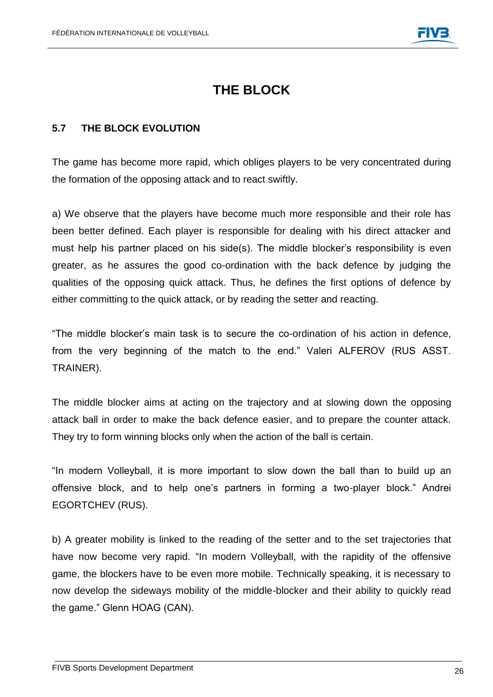### **THE BLOCK**

#### **5.7 THE BLOCK EVOLUTION**

The game has become more rapid, which obliges players to be very concentrated during the formation of the opposing attack and to react swiftly.

a) We observe that the players have become much more responsible and their role has been better defined. Each player is responsible for dealing with his direct attacker and must help his partner placed on his side(s). The middle blocker's responsibility is even greater, as he assures the good co-ordination with the back defence by judging the qualities of the opposing quick attack. Thus, he defines the first options of defence by either committing to the quick attack, or by reading the setter and reacting.

"The middle blocker's main task is to secure the co-ordination of his action in defence, from the very beginning of the match to the end." Valeri ALFEROV (RUS ASST. TRAINER).

The middle blocker aims at acting on the trajectory and at slowing down the opposing attack ball in order to make the back defence easier, and to prepare the counter attack. They try to form winning blocks only when the action of the ball is certain.

"In modern Volleyball, it is more important to slow down the ball than to build up an offensive block, and to help one's partners in forming a two-player block." Andrei EGORTCHEV (RUS).

b) A greater mobility is linked to the reading of the setter and to the set trajectories that have now become very rapid. "In modern Volleyball, with the rapidity of the offensive game, the blockers have to be even more mobile. Technically speaking, it is necessary to now develop the sideways mobility of the middle-blocker and their ability to quickly read the game." Glenn HOAG (CAN).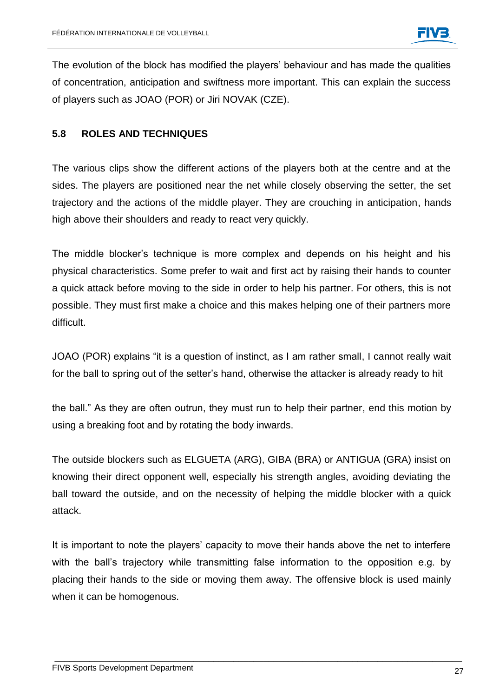The evolution of the block has modified the players' behaviour and has made the qualities of concentration, anticipation and swiftness more important. This can explain the success of players such as JOAO (POR) or Jiri NOVAK (CZE).

#### **5.8 ROLES AND TECHNIQUES**

The various clips show the different actions of the players both at the centre and at the sides. The players are positioned near the net while closely observing the setter, the set trajectory and the actions of the middle player. They are crouching in anticipation, hands high above their shoulders and ready to react very quickly.

The middle blocker's technique is more complex and depends on his height and his physical characteristics. Some prefer to wait and first act by raising their hands to counter a quick attack before moving to the side in order to help his partner. For others, this is not possible. They must first make a choice and this makes helping one of their partners more difficult.

JOAO (POR) explains "it is a question of instinct, as I am rather small, I cannot really wait for the ball to spring out of the setter's hand, otherwise the attacker is already ready to hit

the ball." As they are often outrun, they must run to help their partner, end this motion by using a breaking foot and by rotating the body inwards.

The outside blockers such as ELGUETA (ARG), GIBA (BRA) or ANTIGUA (GRA) insist on knowing their direct opponent well, especially his strength angles, avoiding deviating the ball toward the outside, and on the necessity of helping the middle blocker with a quick attack.

It is important to note the players' capacity to move their hands above the net to interfere with the ball's trajectory while transmitting false information to the opposition e.g. by placing their hands to the side or moving them away. The offensive block is used mainly when it can be homogenous.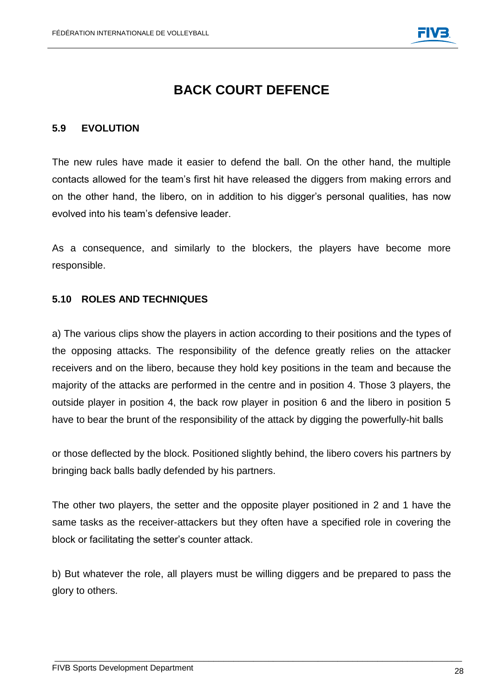### **BACK COURT DEFENCE**

#### **5.9 EVOLUTION**

The new rules have made it easier to defend the ball. On the other hand, the multiple contacts allowed for the team's first hit have released the diggers from making errors and on the other hand, the libero, on in addition to his digger's personal qualities, has now evolved into his team's defensive leader.

As a consequence, and similarly to the blockers, the players have become more responsible.

#### **5.10 ROLES AND TECHNIQUES**

a) The various clips show the players in action according to their positions and the types of the opposing attacks. The responsibility of the defence greatly relies on the attacker receivers and on the libero, because they hold key positions in the team and because the majority of the attacks are performed in the centre and in position 4. Those 3 players, the outside player in position 4, the back row player in position 6 and the libero in position 5 have to bear the brunt of the responsibility of the attack by digging the powerfully-hit balls

or those deflected by the block. Positioned slightly behind, the libero covers his partners by bringing back balls badly defended by his partners.

The other two players, the setter and the opposite player positioned in 2 and 1 have the same tasks as the receiver-attackers but they often have a specified role in covering the block or facilitating the setter's counter attack.

b) But whatever the role, all players must be willing diggers and be prepared to pass the glory to others.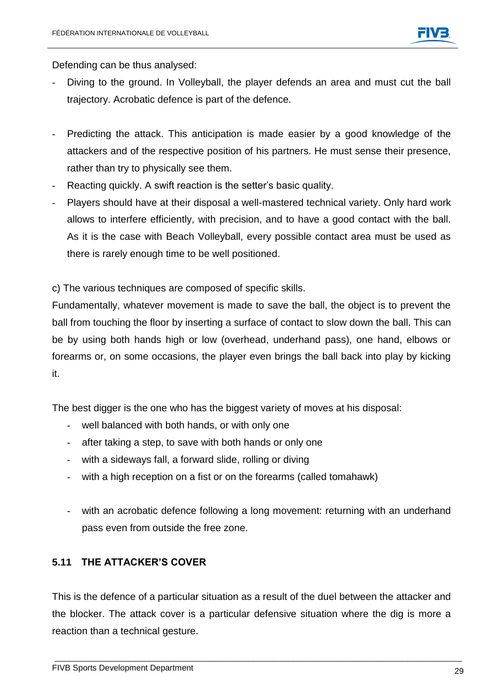Defending can be thus analysed:

- Diving to the ground. In Volleyball, the player defends an area and must cut the ball trajectory. Acrobatic defence is part of the defence.
- Predicting the attack. This anticipation is made easier by a good knowledge of the attackers and of the respective position of his partners. He must sense their presence, rather than try to physically see them.
- Reacting quickly. A swift reaction is the setter's basic quality.
- Players should have at their disposal a well-mastered technical variety. Only hard work allows to interfere efficiently, with precision, and to have a good contact with the ball. As it is the case with Beach Volleyball, every possible contact area must be used as there is rarely enough time to be well positioned.

c) The various techniques are composed of specific skills.

Fundamentally, whatever movement is made to save the ball, the object is to prevent the ball from touching the floor by inserting a surface of contact to slow down the ball. This can be by using both hands high or low (overhead, underhand pass), one hand, elbows or forearms or, on some occasions, the player even brings the ball back into play by kicking it.

The best digger is the one who has the biggest variety of moves at his disposal:

- well balanced with both hands, or with only one
- after taking a step, to save with both hands or only one
- with a sideways fall, a forward slide, rolling or diving
- with a high reception on a fist or on the forearms (called tomahawk)
- with an acrobatic defence following a long movement: returning with an underhand pass even from outside the free zone.

#### **5.11 THE ATTACKER'S COVER**

This is the defence of a particular situation as a result of the duel between the attacker and the blocker. The attack cover is a particular defensive situation where the dig is more a reaction than a technical gesture.